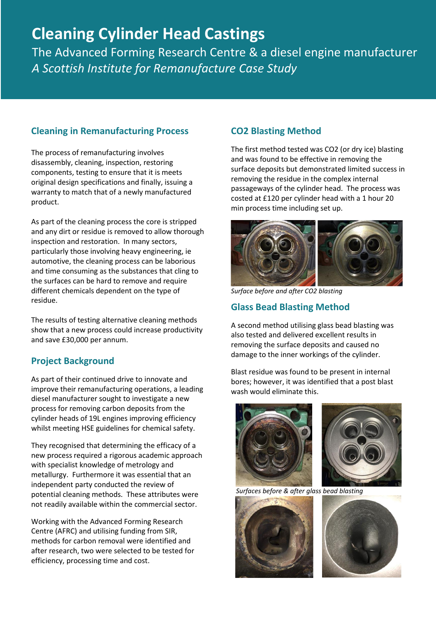# **Cleaning Cylinder Head Castings**

The Advanced Forming Research Centre & a diesel engine manufacturer *A Scottish Institute for Remanufacture Case Study* 

## **Cleaning in Remanufacturing Process**

The process of remanufacturing involves disassembly, cleaning, inspection, restoring components, testing to ensure that it is meets original design specifications and finally, issuing a warranty to match that of a newly manufactured product.

As part of the cleaning process the core is stripped and any dirt or residue is removed to allow thorough inspection and restoration. In many sectors, particularly those involving heavy engineering, ie automotive, the cleaning process can be laborious and time consuming as the substances that cling to the surfaces can be hard to remove and require different chemicals dependent on the type of residue.

The results of testing alternative cleaning methods show that a new process could increase productivity and save £30,000 per annum.

#### **Project Background**

As part of their continued drive to innovate and improve their remanufacturing operations, a leading diesel manufacturer sought to investigate a new process for removing carbon deposits from the cylinder heads of 19L engines improving efficiency whilst meeting HSE guidelines for chemical safety.

They recognised that determining the efficacy of a new process required a rigorous academic approach with specialist knowledge of metrology and metallurgy. Furthermore it was essential that an independent party conducted the review of potential cleaning methods. These attributes were not readily available within the commercial sector.

Working with the Advanced Forming Research Centre (AFRC) and utilising funding from SIR, methods for carbon removal were identified and after research, two were selected to be tested for efficiency, processing time and cost.

### **CO2 Blasting Method**

The first method tested was CO2 (or dry ice) blasting and was found to be effective in removing the surface deposits but demonstrated limited success in removing the residue in the complex internal passageways of the cylinder head. The process was costed at £120 per cylinder head with a 1 hour 20 min process time including set up.



*Surface before and after CO2 blasting*

### **Glass Bead Blasting Method**

A second method utilising glass bead blasting was also tested and delivered excellent results in removing the surface deposits and caused no damage to the inner workings of the cylinder.

Blast residue was found to be present in internal bores; however, it was identified that a post blast wash would eliminate this.





 *Surfaces before & after glass bead blasting*